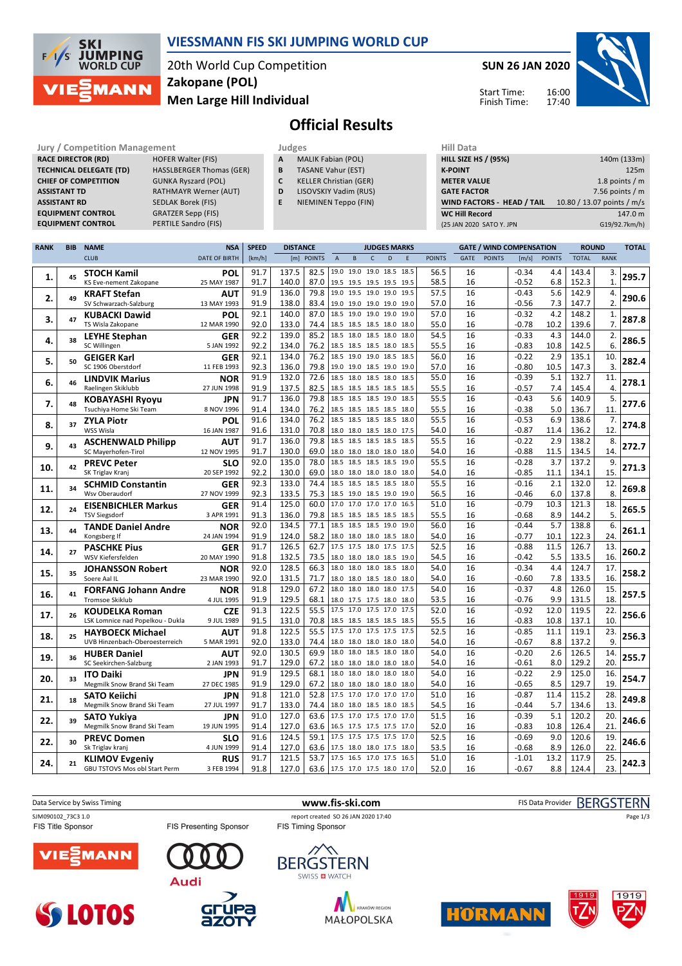

### **VIESSMANN FIS SKI JUMPING WORLD CUP**

20th World Cup Competition **Men Large Hill Individual Zakopane (POL)**

**SUN 26 JAN 2020**



16:00 17:40 Start Time: Finish Time:

# **Official Results**

| <b>Jury / Competition Management</b> |                                 |   | Judges                        | <b>Hill Data</b>   |
|--------------------------------------|---------------------------------|---|-------------------------------|--------------------|
| <b>RACE DIRECTOR (RD)</b>            | <b>HOFER Walter (FIS)</b>       | A | <b>MALIK Fabian (POL)</b>     | <b>HILL SIZE I</b> |
| <b>TECHNICAL DELEGATE (TD)</b>       | <b>HASSLBERGER Thomas (GER)</b> | B | <b>TASANE Vahur (EST)</b>     | <b>K-POINT</b>     |
| <b>CHIEF OF COMPETITION</b>          | <b>GUNKA Ryszard (POL)</b>      | C | <b>KELLER Christian (GER)</b> | <b>METER VA</b>    |
| <b>ASSISTANT TD</b>                  | <b>RATHMAYR Werner (AUT)</b>    | D | LISOVSKIY Vadim (RUS)         | <b>GATE FACT</b>   |
| <b>ASSISTANT RD</b>                  | SEDLAK Borek (FIS)              | E | NIEMINEN Teppo (FIN)          | <b>WIND FAC</b>    |
| <b>EQUIPMENT CONTROL</b>             | <b>GRATZER Sepp (FIS)</b>       |   |                               | <b>WC Hill Re</b>  |
| <b>FOUIPMENT CONTROL</b>             | PERTILE Sandro (FIS)            |   |                               | 125 IAN 2021       |

|   | Juages                    |  |
|---|---------------------------|--|
| A | <b>MALIK Fabian (POL)</b> |  |

- **B** TASANE Vahur (EST)
- **C** KELLER Christian (GER)
- **D** LISOVSKIY Vadim (RUS)
- **E** NIEMINEN Teppo (FIN)

| (25 JAN 2020 SATO Y. JPN    | G19/92.7km/h)              |
|-----------------------------|----------------------------|
| <b>WC Hill Record</b>       | 147.0 m                    |
| WIND FACTORS - HEAD / TAIL  | 10.80 / 13.07 points / m/s |
| <b>GATE FACTOR</b>          | 7.56 points $/m$           |
| <b>METER VALUE</b>          | 1.8 points $/m$            |
| <b>K-POINT</b>              | 125m                       |
| <b>HILL SIZE HS / (95%)</b> | 140m (133m)                |
| нш рата                     |                            |

| <b>RANK</b> | <b>BIB</b> | <b>NAME</b>                      | <b>NSA</b>           | <b>SPEED</b> | <b>DISTANCE</b> |            |                               |                |              | <b>JUDGES MARKS</b> |             |               |      |               | <b>GATE / WIND COMPENSATION</b> |               | <b>ROUND</b> |                | <b>TOTAL</b> |
|-------------|------------|----------------------------------|----------------------|--------------|-----------------|------------|-------------------------------|----------------|--------------|---------------------|-------------|---------------|------|---------------|---------------------------------|---------------|--------------|----------------|--------------|
|             |            | <b>CLUB</b>                      | <b>DATE OF BIRTH</b> | [km/h]       |                 | [m] POINTS | $\overline{A}$                | B              | $\mathsf{C}$ | D                   | $\mathsf E$ | <b>POINTS</b> | GATE | <b>POINTS</b> | [m/s]                           | <b>POINTS</b> | <b>TOTAL</b> | <b>RANK</b>    |              |
|             |            | <b>STOCH Kamil</b>               | POL                  | 91.7         | 137.5           | 82.5       | 19.0 19.0 19.0 18.5           |                |              |                     | 18.5        | 56.5          | 16   |               | $-0.34$                         | 4.4           | 143.4        | 3.             |              |
| 1.          | 45         | KS Eve-nement Zakopane           | 25 MAY 1987          | 91.7         | 140.0           | 87.0       | 19.5 19.5 19.5 19.5 19.5      |                |              |                     |             | 58.5          | 16   |               | $-0.52$                         | 6.8           | 152.3        | $\mathbf{1}$   | 295.7        |
|             |            | <b>KRAFT Stefan</b>              | <b>AUT</b>           | 91.9         | 136.0           | 79.8       | 19.0 19.5 19.0 19.0           |                |              |                     | 19.5        | 57.5          | 16   |               | $-0.43$                         | 5.6           | 142.9        | 4.             |              |
| 2.          | 49         | SV Schwarzach-Salzburg           | 13 MAY 1993          | 91.9         | 138.0           | 83.4       | 19.0 19.0 19.0 19.0 19.0      |                |              |                     |             | 57.0          | 16   |               | $-0.56$                         | 7.3           | 147.7        | 2.             | 290.6        |
|             |            | <b>KUBACKI Dawid</b>             | POL                  | 92.1         | 140.0           | 87.0       | 18.5 19.0 19.0 19.0           |                |              |                     | 19.0        | 57.0          | 16   |               | $-0.32$                         | 4.2           | 148.2        | 1.             |              |
| 3.          | 47         | TS Wisla Zakopane                | 12 MAR 1990          | 92.0         | 133.0           | 74.4       | 18.5 18.5 18.5 18.0 18.0      |                |              |                     |             | 55.0          | 16   |               | $-0.78$                         | 10.2          | 139.6        | 7.             | 287.8        |
|             |            | <b>LEYHE Stephan</b>             | <b>GER</b>           | 92.2         | 139.0           | 85.2       | 18.5 18.0 18.5 18.0           |                |              |                     | 18.0        | 54.5          | 16   |               | $-0.33$                         | 4.3           | 144.0        | 2.             |              |
| 4.          | 38         | SC Willingen                     | 5 JAN 1992           | 92.2         | 134.0           | 76.2       | 18.5 18.5 18.5 18.0           |                |              |                     | 18.5        | 55.5          | 16   |               | $-0.83$                         | 10.8          | 142.5        | 6.             | 286.5        |
|             |            | <b>GEIGER Karl</b>               | <b>GER</b>           | 92.1         | 134.0           | 76.2       | 18.5 19.0 19.0 18.5           |                |              |                     | 18.5        | 56.0          | 16   |               | $-0.22$                         | 2.9           | 135.1        | 10.            |              |
| 5.          | 50         | SC 1906 Oberstdorf               | 11 FEB 1993          | 92.3         | 136.0           | 79.8       | 19.0 19.0 18.5 19.0 19.0      |                |              |                     |             | 57.0          | 16   |               | $-0.80$                         | 10.5          | 147.3        | $\overline{3}$ | 282.4        |
|             |            | <b>LINDVIK Marius</b>            | <b>NOR</b>           | 91.9         | 132.0           | 72.6       | 18.5 18.0 18.5 18.0           |                |              |                     | 18.5        | 55.0          | 16   |               | $-0.39$                         | 5.1           | 132.7        | 11.            |              |
| 6.          | 46         | Raelingen Skiklubb               | 27 JUN 1998          | 91.9         | 137.5           | 82.5       | 18.5 18.5 18.5 18.5 18.5      |                |              |                     |             | 55.5          | 16   |               | $-0.57$                         | 7.4           | 145.4        | 4.             | 278.1        |
|             |            | <b>KOBAYASHI Ryoyu</b>           | <b>JPN</b>           | 91.7         | 136.0           | 79.8       | 18.5 18.5 18.5 19.0           |                |              |                     | 18.5        | 55.5          | 16   |               | $-0.43$                         | 5.6           | 140.9        | 5.             |              |
| 7.          | 48         | Tsuchiya Home Ski Team           | 8 NOV 1996           | 91.4         | 134.0           | 76.2       | 18.5 18.5 18.5 18.5 18.0      |                |              |                     |             | 55.5          | 16   |               | $-0.38$                         | 5.0           | 136.7        | 11.            | 277.6        |
|             |            | <b>ZYLA Piotr</b>                | POL                  | 91.6         | 134.0           | 76.2       | 18.5                          | 18.5 18.5 18.5 |              |                     | 18.0        | 55.5          | 16   |               | $-0.53$                         | 6.9           | 138.6        | 7.             |              |
| 8.          | 37         | WSS Wisla                        | 16 JAN 1987          | 91.6         | 131.0           | 70.8       | 18.0 18.0 18.5 18.0 17.5      |                |              |                     |             | 54.0          | 16   |               | $-0.87$                         | 11.4          | 136.2        | 12.            | 274.8        |
|             |            | <b>ASCHENWALD Philipp</b>        | <b>AUT</b>           | 91.7         | 136.0           | 79.8       | 18.5 18.5 18.5 18.5           |                |              |                     | 18.5        | 55.5          | 16   |               | $-0.22$                         | 2.9           | 138.2        | 8.             |              |
| 9.          | 43         | SC Mayerhofen-Tirol              | 12 NOV 1995          | 91.7         | 130.0           | 69.0       | 18.0 18.0 18.0 18.0 18.0      |                |              |                     |             | 54.0          | 16   |               | $-0.88$                         | 11.5          | 134.5        | 14.            | 272.7        |
|             |            | <b>PREVC Peter</b>               | <b>SLO</b>           | 92.0         | 135.0           | 78.0       | 18.5 18.5 18.5 18.5           |                |              |                     | 19.0        | 55.5          | 16   |               | $-0.28$                         | 3.7           | 137.2        | 9.             |              |
| 10.         | 42         | SK Triglav Kranj                 | 20 SEP 1992          | 92.2         | 130.0           | 69.0       | 18.0 18.0 18.0 18.0 18.0      |                |              |                     |             | 54.0          | 16   |               | $-0.85$                         | 11.1          | 134.1        | 15.            | 271.3        |
|             |            | <b>SCHMID Constantin</b>         | GER                  | 92.3         | 133.0           | 74.4       | 18.5 18.5 18.5 18.5 18.0      |                |              |                     |             | 55.5          | 16   |               | $-0.16$                         | 2.1           | 132.0        | 12.            |              |
| 11.         | 34         | Wsv Oberaudorf                   | 27 NOV 1999          | 92.3         | 133.5           | 75.3       | 18.5 19.0 18.5 19.0 19.0      |                |              |                     |             | 56.5          | 16   |               | $-0.46$                         | 6.0           | 137.8        | 8.             | 269.8        |
|             |            | <b>EISENBICHLER Markus</b>       | <b>GER</b>           | 91.4         | 125.0           | 60.0       | 17.0                          | 17.0 17.0 17.0 |              |                     | 16.5        | 51.0          | 16   |               | $-0.79$                         | 10.3          | 121.3        | 18.            |              |
| 12.         | 24         | <b>TSV Siegsdorf</b>             | 3 APR 1991           | 91.3         | 136.0           | 79.8       | 18.5 18.5 18.5 18.5 18.5      |                |              |                     |             | 55.5          | 16   |               | $-0.68$                         | 8.9           | 144.2        | 5.             | 265.5        |
|             |            | <b>TANDE Daniel Andre</b>        | <b>NOR</b>           | 92.0         | 134.5           | 77.1       | 18.5 18.5 18.5 19.0           |                |              |                     | 19.0        | 56.0          | 16   |               | $-0.44$                         | 5.7           | 138.8        | 6.             |              |
| 13.         | 44         | Kongsberg If                     | 24 JAN 1994          | 91.9         | 124.0           | 58.2       | 18.0 18.0 18.0 18.5 18.0      |                |              |                     |             | 54.0          | 16   |               | -0.77                           | 10.1          | 122.3        | 24.            | 261.1        |
|             | 27         | <b>PASCHKE Pius</b>              | <b>GER</b>           | 91.7         | 126.5           | 62.7       | 17.5 17.5 18.0 17.5 17.5      |                |              |                     |             | 52.5          | 16   |               | $-0.88$                         | 11.5          | 126.7        | 13.            | 260.2        |
| 14.         |            | WSV Kiefersfelden                | 20 MAY 1990          | 91.8         | 132.5           | 73.5       | 18.0 18.0 18.0 18.5 19.0      |                |              |                     |             | 54.5          | 16   |               | $-0.42$                         | 5.5           | 133.5        | 16.            |              |
|             |            | <b>JOHANSSON Robert</b>          | <b>NOR</b>           | 92.0         | 128.5           | 66.3       | 18.0 18.0 18.0 18.5 18.0      |                |              |                     |             | 54.0          | 16   |               | $-0.34$                         | 4.4           | 124.7        | 17.            |              |
| 15.         | 35         | Soere Aal IL                     | 23 MAR 1990          | 92.0         | 131.5           | 71.7       | 18.0 18.0 18.5 18.0 18.0      |                |              |                     |             | 54.0          | 16   |               | $-0.60$                         | 7.8           | 133.5        | 16.            | 258.2        |
| 16.         | 41         | <b>FORFANG Johann Andre</b>      | <b>NOR</b>           | 91.8         | 129.0           | 67.2       | 18.0 18.0 18.0 18.0           |                |              |                     | 17.5        | 54.0          | 16   |               | $-0.37$                         | 4.8           | 126.0        | 15.            | 257.5        |
|             |            | <b>Tromsoe Skiklub</b>           | 4 JUL 1995           | 91.9         | 129.5           | 68.1       | 18.0 17.5 17.5 18.0 18.0      |                |              |                     |             | 53.5          | 16   |               | $-0.76$                         | 9.9           | 131.5        | 18.            |              |
| 17.         | 26         | <b>KOUDELKA Roman</b>            | <b>CZE</b>           | 91.3         | 122.5           | 55.5       | 17.5 17.0 17.5 17.0 17.5      |                |              |                     |             | 52.0          | 16   |               | $-0.92$                         | 12.0          | 119.5        | 22.            | 256.6        |
|             |            | LSK Lomnice nad Popelkou - Dukla | 9 JUL 1989           | 91.5         | 131.0           | 70.8       | 18.5 18.5 18.5 18.5 18.5      |                |              |                     |             | 55.5          | 16   |               | $-0.83$                         | 10.8          | 137.1        | 10.            |              |
| 18.         | 25         | <b>HAYBOECK Michael</b>          | AUT                  | 91.8         | 122.5           | 55.5       | 17.5 17.0 17.5 17.5 17.5      |                |              |                     |             | 52.5          | 16   |               | $-0.85$                         | 11.1          | 119.1        | 23.            | 256.3        |
|             |            | UVB Hinzenbach-Oberoesterreich   | 5 MAR 1991           | 92.0         | 133.0           | 74.4       | 18.0 18.0 18.0 18.0 18.0      |                |              |                     |             | 54.0          | 16   |               | $-0.67$                         | 8.8           | 137.2        | 9.             |              |
| 19.         | 36         | <b>HUBER Daniel</b>              | <b>AUT</b>           | 92.0         | 130.5           | 69.9       | 18.0 18.0 18.5 18.0 18.0      |                |              |                     |             | 54.0          | 16   |               | $-0.20$                         | 2.6           | 126.5        | 14.            | 255.7        |
|             |            | SC Seekirchen-Salzburg           | 2 JAN 1993           | 91.7         | 129.0           | 67.2       | 18.0 18.0 18.0 18.0 18.0      |                |              |                     |             | 54.0          | 16   |               | $-0.61$                         | 8.0           | 129.2        | 20.            |              |
| 20.         | 33         | <b>ITO Daiki</b>                 | <b>JPN</b>           | 91.9         | 129.5           | 68.1       | 18.0 18.0 18.0 18.0           |                |              |                     | 18.0        | 54.0          | 16   |               | $-0.22$                         | 2.9           | 125.0        | 16.            | 254.7        |
|             |            | Megmilk Snow Brand Ski Team      | 27 DEC 1985          | 91.9         | 129.0           | 67.2       | 18.0 18.0 18.0 18.0           |                |              |                     | 18.0        | 54.0          | 16   |               | $-0.65$                         | 8.5           | 129.7        | 19.            |              |
| 21.         | 18         | SATO Keiichi                     | JPN                  | 91.8         | 121.0           | 52.8       | 17.5 17.0 17.0 17.0           |                |              |                     | 17.0        | 51.0          | 16   |               | $-0.87$                         | 11.4          | 115.2        | 28.            | 249.8        |
|             |            | Megmilk Snow Brand Ski Team      | 27 JUL 1997          | 91.7         | 133.0           | 74.4       | 18.0 18.0 18.5 18.0           |                |              |                     | 18.5        | 54.5          | 16   |               | $-0.44$                         | 5.7           | 134.6        | 13.            |              |
| 22.         | 39         | <b>SATO Yukiya</b>               | JPN                  | 91.0         | 127.0           | 63.6       | 17.5 17.0 17.5 17.0           |                |              |                     | 17.0        | 51.5          | 16   |               | $-0.39$                         | 5.1           | 120.2        | 20.            | 246.6        |
|             |            | Megmilk Snow Brand Ski Team      | 19 JUN 1995          | 91.4         | 127.0           | 63.6       | 16.5 17.5 17.5 17.5 17.0      |                |              |                     |             | 52.0          | 16   |               | $-0.83$                         | 10.8          | 126.4        | 21.            |              |
| 22.         | 30         | <b>PREVC Domen</b>               | <b>SLO</b>           | 91.6         | 124.5           | 59.1       | 17.5 17.5 17.5 17.5 17.0      |                |              |                     |             | 52.5          | 16   |               | $-0.69$                         | 9.0           | 120.6        | 19.            | 246.6        |
|             |            | Sk Triglav kranj                 | 4 JUN 1999           | 91.4         | 127.0           | 63.6       | 17.5 18.0 18.0 17.5 18.0      |                |              |                     |             | 53.5          | 16   |               | $-0.68$                         | 8.9           | 126.0        | 22.            |              |
| 24.         | 21         | <b>KLIMOV Evgeniy</b>            | <b>RUS</b>           | 91.7         | 121.5           | 53.7       | 17.5 16.5 17.0 17.5           |                |              |                     | 16.5        | 51.0          | 16   |               | $-1.01$                         | 13.2          | 117.9        | 25.            | 242.3        |
|             |            | GBU TSTOVS Mos obl Start Perm    | 3 FEB 1994           | 91.8         | 127.0           |            | 63.6 17.5 17.0 17.5 18.0 17.0 |                |              |                     |             | 52.0          | 16   |               | $-0.67$                         | 8.8           | 124.4        | 23.            |              |

| Data Service by Swiss Timing                   |                               | www.fis-ski.com                                                  | FIS Data Provider BERGSTERN |
|------------------------------------------------|-------------------------------|------------------------------------------------------------------|-----------------------------|
| SJM090102 73C3 1.0<br><b>FIS Title Sponsor</b> | <b>FIS Presenting Sponsor</b> | report created SO 26 JAN 2020 17:40<br><b>FIS Timing Sponsor</b> | Page 1/3                    |
| <b>VIE EMANN</b>                               | Audi                          | <b>BERGSTERN</b><br>SWISS <b>EI</b> WATCH                        |                             |









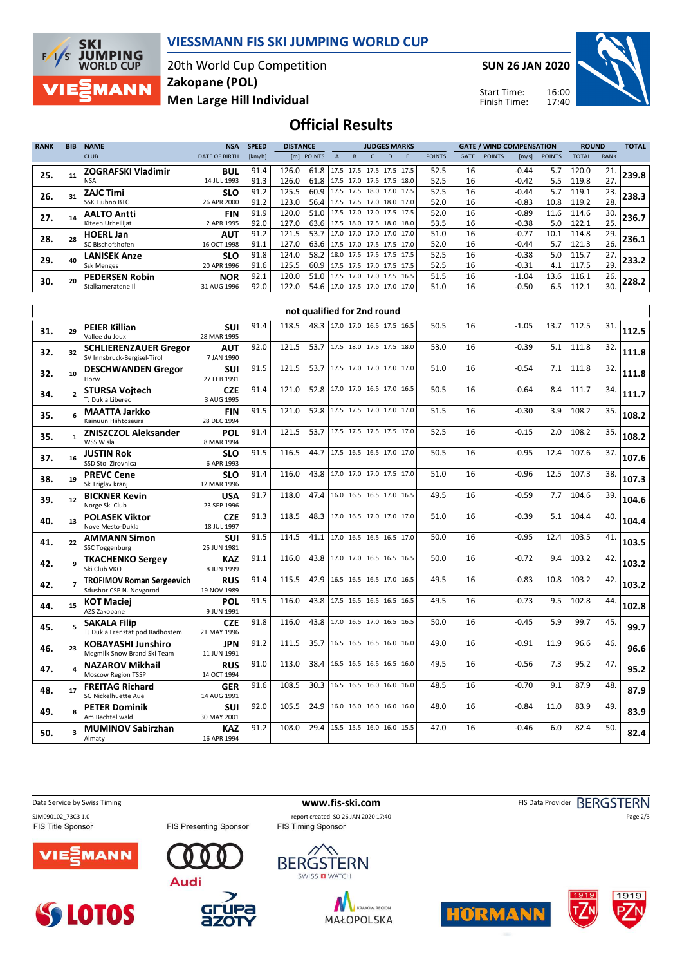

### **VIESSMANN FIS SKI JUMPING WORLD CUP**

20th World Cup Competition **Men Large Hill Individual Zakopane (POL)**

**SUN 26 JAN 2020**

Start Time: Finish Time:



### **Official Results**

| <b>RANK</b> | <b>BIB</b> | <b>NAME</b>               | <b>NSA</b>           | <b>SPEED</b> | <b>DISTANCE</b> |                               |  |                          | <b>JUDGES MARKS</b> |                          |               |             | <b>GATE / WIND COMPENSATION</b> |         |               | <b>ROUND</b> |             | <b>TOTAL</b> |
|-------------|------------|---------------------------|----------------------|--------------|-----------------|-------------------------------|--|--------------------------|---------------------|--------------------------|---------------|-------------|---------------------------------|---------|---------------|--------------|-------------|--------------|
|             |            | <b>CLUB</b>               | <b>DATE OF BIRTH</b> | [km/h]       |                 | [m] POINTS                    |  |                          |                     |                          | <b>POINTS</b> | <b>GATE</b> | <b>POINTS</b>                   | [m/s]   | <b>POINTS</b> | <b>TOTAL</b> | <b>RANK</b> |              |
| 25.         |            | <b>ZOGRAFSKI Vladimir</b> | <b>BUL</b>           | 91.4         | 126.0           | 61.8                          |  |                          |                     | 17.5 17.5 17.5 17.5 17.5 | 52.5          | 16          |                                 | $-0.44$ | 5.7           | 120.0        | 21.         | 239.8        |
|             |            | NSA                       | 14 JUL 1993          | 91.3         | 126.0           | 61.8                          |  |                          |                     | 17.5 17.0 17.5 17.5 18.0 | 52.5          | 16          |                                 | $-0.42$ | 5.5           | 119.8        | 27.         |              |
| 26.         |            | <b>ZAJC Timi</b>          | <b>SLO</b>           | 91.2         | 125.5           | 60.9                          |  |                          |                     | 17.5 17.5 18.0 17.0 17.5 | 52.5          | 16          |                                 | $-0.44$ | 5.7           | 119.1        | 23.         | 238.3        |
|             |            | SSK Ljubno BTC            | 26 APR 2000          | 91.2         | 123.0           | 56.4                          |  |                          |                     | 17.5 17.5 17.0 18.0 17.0 | 52.0          | 16          |                                 | $-0.83$ | 10.8          | 119.2        | 28.         |              |
| 27.         |            | <b>AALTO Antti</b>        | <b>FIN</b>           | 91.9         | 120.0           | 51.0                          |  |                          |                     | 17.5 17.0 17.0 17.5 17.5 | 52.0          | 16          |                                 | $-0.89$ | 11.6          | 114.6        | 30.         | 236.7        |
|             |            | Kiteen Urheilijat         | 2 APR 1995           | 92.0         | 127.0           | 63.6 17.5 18.0 17.5 18.0 18.0 |  |                          |                     |                          | 53.5          | 16          |                                 | $-0.38$ | 5.0           | 122.1        | 25.         |              |
| 28.         |            | <b>HOERL Jan</b>          | <b>AUT</b>           | 91.2         | 121.5           | 53.7                          |  |                          |                     | 17.0 17.0 17.0 17.0 17.0 | 51.0          | 16          |                                 | $-0.77$ | 10.1          | 114.8        | 29.         | 236.1        |
|             |            | SC Bischofshofen          | 16 OCT 1998          | 91.1         | 127.0           | 63.6                          |  |                          |                     | 17.5 17.0 17.5 17.5 17.0 | 52.0          | 16          |                                 | $-0.44$ | 5.7           | 121.3        | 26.         |              |
| 29.         | 40         | <b>LANISEK Anze</b>       | <b>SLO</b>           | 91.8         | 124.0           | 58.2                          |  |                          |                     | 18.0 17.5 17.5 17.5 17.5 | 52.5          | 16          |                                 | $-0.38$ | 5.0           | 115.7        | 27.         | 233.2        |
|             |            | <b>Ssk Menges</b>         | 20 APR 1996          | 91.6         | 125.5           | 60.9                          |  | 17.5 17.5 17.0 17.5 17.5 |                     |                          | 52.5          | 16          |                                 | $-0.31$ | 4.1           | 117.5        | 29.         |              |
| 30.         | 20         | <b>PEDERSEN Robin</b>     | <b>NOR</b>           | 92.1         | 120.0           | 51.0                          |  |                          |                     | 17.5 17.0 17.0 17.5 16.5 | 51.5          | 16          |                                 | $-1.04$ | 13.6          | 116.1        | 26.         | 228.2        |
|             |            | Stalkameratene II         | 31 AUG 1996          | 92.0         | 122.0           | 54.6 17.0 17.5 17.0 17.0 17.0 |  |                          |                     |                          | 51.0          | 16          |                                 | $-0.50$ | 6.5           | 112.1        | 30.         |              |

|     | not qualified for 2nd round |                                                             |                           |      |       |      |                               |      |    |         |      |       |     |       |
|-----|-----------------------------|-------------------------------------------------------------|---------------------------|------|-------|------|-------------------------------|------|----|---------|------|-------|-----|-------|
| 31. | 29                          | <b>PEIER Killian</b><br>Vallee du Joux                      | <b>SUI</b><br>28 MAR 1995 | 91.4 | 118.5 |      | 48.3 17.0 17.0 16.5 17.5 16.5 | 50.5 | 16 | $-1.05$ | 13.7 | 112.5 | 31. | 112.5 |
| 32. | 32                          | <b>SCHLIERENZAUER Gregor</b><br>SV Innsbruck-Bergisel-Tirol | <b>AUT</b><br>7 JAN 1990  | 92.0 | 121.5 |      | 53.7 17.5 18.0 17.5 17.5 18.0 | 53.0 | 16 | $-0.39$ | 5.1  | 111.8 | 32. | 111.8 |
| 32. | 10                          | <b>DESCHWANDEN Gregor</b><br>Horw                           | <b>SUI</b><br>27 FEB 1991 | 91.5 | 121.5 | 53.7 | 17.5 17.0 17.0 17.0 17.0      | 51.0 | 16 | $-0.54$ | 7.1  | 111.8 | 32. | 111.8 |
| 34. |                             | <b>STURSA Vojtech</b><br>TJ Dukla Liberec                   | <b>CZE</b><br>3 AUG 1995  | 91.4 | 121.0 | 52.8 | 17.0 17.0 16.5 17.0 16.5      | 50.5 | 16 | $-0.64$ | 8.4  | 111.7 | 34. | 111.7 |
| 35. |                             | <b>MAATTA Jarkko</b><br>Kainuun Hiihtoseura                 | <b>FIN</b><br>28 DEC 1994 | 91.5 | 121.0 |      | 52.8 17.5 17.5 17.0 17.0 17.0 | 51.5 | 16 | $-0.30$ | 3.9  | 108.2 | 35. | 108.2 |
| 35. | 1                           | <b>ZNISZCZOL Aleksander</b><br>WSS Wisla                    | POL<br>8 MAR 1994         | 91.4 | 121.5 | 53.7 | 17.5 17.5 17.5 17.5 17.0      | 52.5 | 16 | $-0.15$ | 2.0  | 108.2 | 35. | 108.2 |
| 37. | 16                          | <b>JUSTIN Rok</b><br>SSD Stol Zirovnica                     | <b>SLO</b><br>6 APR 1993  | 91.5 | 116.5 | 44.7 | 17.5 16.5 16.5 17.0 17.0      | 50.5 | 16 | $-0.95$ | 12.4 | 107.6 | 37. | 107.6 |
| 38. | 19                          | <b>PREVC Cene</b><br>Sk Triglav kranj                       | <b>SLO</b><br>12 MAR 1996 | 91.4 | 116.0 | 43.8 | 17.0 17.0 17.0 17.5 17.0      | 51.0 | 16 | $-0.96$ | 12.5 | 107.3 | 38. | 107.3 |
| 39. | 12                          | <b>BICKNER Kevin</b><br>Norge Ski Club                      | <b>USA</b><br>23 SEP 1996 | 91.7 | 118.0 | 47.4 | 16.0 16.5 16.5 17.0 16.5      | 49.5 | 16 | $-0.59$ | 7.7  | 104.6 | 39. | 104.6 |
| 40. | 13                          | <b>POLASEK Viktor</b><br>Nove Mesto-Dukla                   | <b>CZE</b><br>18 JUL 1997 | 91.3 | 118.5 | 48.3 | 17.0 16.5 17.0 17.0 17.0      | 51.0 | 16 | $-0.39$ | 5.1  | 104.4 | 40. | 104.4 |
| 41. | 22                          | <b>AMMANN Simon</b><br>SSC Toggenburg                       | <b>SUI</b><br>25 JUN 1981 | 91.5 | 114.5 | 41.1 | 17.0 16.5 16.5 16.5 17.0      | 50.0 | 16 | $-0.95$ | 12.4 | 103.5 | 41. | 103.5 |
| 42. | q                           | <b>TKACHENKO Sergey</b><br>Ski Club VKO                     | <b>KAZ</b><br>8 JUN 1999  | 91.1 | 116.0 |      | 43.8 17.0 17.0 16.5 16.5 16.5 | 50.0 | 16 | $-0.72$ | 9.4  | 103.2 | 42. | 103.2 |
| 42. |                             | <b>TROFIMOV Roman Sergeevich</b><br>Sdushor CSP N. Novgorod | <b>RUS</b><br>19 NOV 1989 | 91.4 | 115.5 | 42.9 | 16.5 16.5 16.5 17.0 16.5      | 49.5 | 16 | $-0.83$ | 10.8 | 103.2 | 42. | 103.2 |
| 44. | 15                          | <b>KOT Maciej</b><br>AZS Zakopane                           | POL<br>9 JUN 1991         | 91.5 | 116.0 | 43.8 | 17.5 16.5 16.5 16.5 16.5      | 49.5 | 16 | $-0.73$ | 9.5  | 102.8 | 44. | 102.8 |
| 45. |                             | <b>SAKALA Filip</b><br>TJ Dukla Frenstat pod Radhostem      | <b>CZE</b><br>21 MAY 1996 | 91.8 | 116.0 | 43.8 | 17.0 16.5 17.0 16.5 16.5      | 50.0 | 16 | $-0.45$ | 5.9  | 99.7  | 45. | 99.7  |
| 46. | 23                          | <b>KOBAYASHI Junshiro</b><br>Megmilk Snow Brand Ski Team    | <b>JPN</b><br>11 JUN 1991 | 91.2 | 111.5 | 35.7 | 16.5 16.5 16.5 16.0 16.0      | 49.0 | 16 | $-0.91$ | 11.9 | 96.6  | 46. | 96.6  |
| 47. |                             | <b>NAZAROV Mikhail</b><br>Moscow Region TSSP                | <b>RUS</b><br>14 OCT 1994 | 91.0 | 113.0 | 38.4 | 16.5 16.5 16.5 16.5 16.0      | 49.5 | 16 | $-0.56$ | 7.3  | 95.2  | 47. | 95.2  |
| 48. | 17                          | <b>FREITAG Richard</b><br>SG Nickelhuette Aue               | <b>GER</b><br>14 AUG 1991 | 91.6 | 108.5 | 30.3 | 16.5 16.5 16.0 16.0 16.0      | 48.5 | 16 | $-0.70$ | 9.1  | 87.9  | 48. | 87.9  |
| 49. |                             | <b>PETER Dominik</b><br>Am Bachtel wald                     | <b>SUI</b><br>30 MAY 2001 | 92.0 | 105.5 | 24.9 | 16.0 16.0 16.0 16.0 16.0      | 48.0 | 16 | $-0.84$ | 11.0 | 83.9  | 49. | 83.9  |
| 50. |                             | <b>MUMINOV Sabirzhan</b><br>Almaty                          | <b>KAZ</b><br>16 APR 1994 | 91.2 | 108.0 | 29.4 | 15.5 15.5 16.0 16.0 15.5      | 47.0 | 16 | $-0.46$ | 6.0  | 82.4  | 50. | 82.4  |

Data Service by Swiss Timing **WWW.fis-ski.com www.fis-ski.com** FIS Data Provider BERGSTERN

FIS Presenting Sponsor

SJM090102\_73C3 1.0 report created SO 26 JAN 2020 17:40<br>FIS Title Sponsor FIS Timing Sponsor FIS Timing Sponsor





**azo** 









Page 2/3